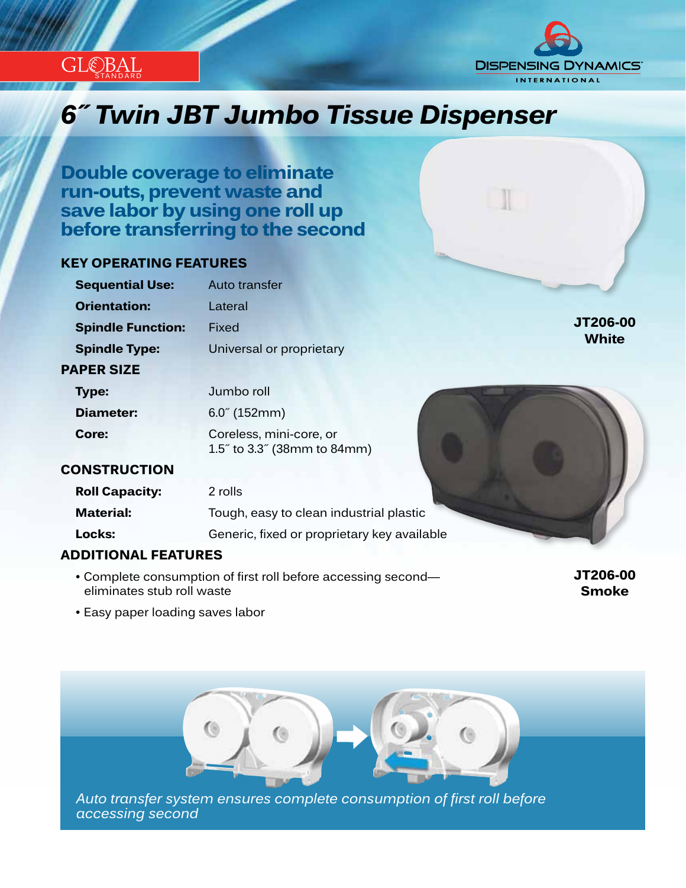



## *Innovation...Design...Solutions 6˝ Twin JBT Jumbo Tissue Dispenser*

**Double coverage to eliminate run-outs, prevent waste and save labor by using one roll up before transferring to the second**

#### **KEY OPERATING FEATURES**

| <b>Sequential Use:</b>   | Auto transfer                                          |              |
|--------------------------|--------------------------------------------------------|--------------|
| <b>Orientation:</b>      | Lateral                                                |              |
| <b>Spindle Function:</b> | Fixed                                                  | JT206-00     |
| <b>Spindle Type:</b>     | Universal or proprietary                               | <b>White</b> |
| <b>PAPER SIZE</b>        |                                                        |              |
| Type:                    | Jumbo roll                                             |              |
| Diameter:                | $6.0^{\circ}$ (152mm)                                  |              |
| Core:                    | Coreless, mini-core, or<br>1.5" to 3.3" (38mm to 84mm) |              |
| <b>CONSTRUCTION</b>      |                                                        |              |
| <b>Roll Capacity:</b>    | 2 rolls                                                |              |
| <b>Material:</b>         | Tough, easy to clean industrial plastic                |              |
| Locks:                   | Generic, fixed or proprietary key available            |              |
|                          |                                                        |              |

#### **ADDITIONAL FEATURES**

• Complete consumption of first roll before accessing second eliminates stub roll waste

**JT206-00 Smoke**

• Easy paper loading saves labor



*accessing second*